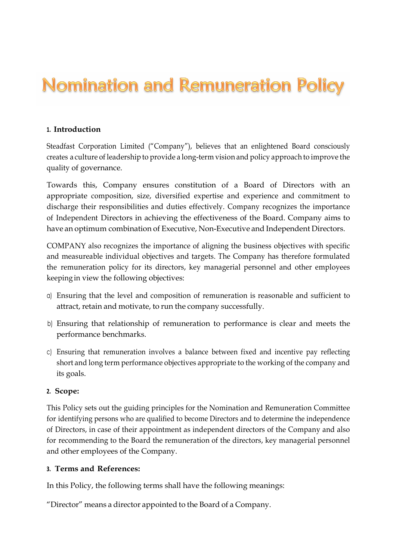# **Nomination and Remuneration Policy**

## **1. Introduction**

Steadfast Corporation Limited ("Company"), believes that an enlightened Board consciously creates a culture of leadership to provide a long-term vision and policy approach to improve the quality of governance.

Towards this, Company ensures constitution of a Board of Directors with an appropriate composition, size, diversified expertise and experience and commitment to discharge their responsibilities and duties effectively. Company recognizes the importance of Independent Directors in achieving the effectiveness of the Board. Company aims to have an optimum combination of Executive, Non-Executive and Independent Directors.

COMPANY also recognizes the importance of aligning the business objectives with specific and measureable individual objectives and targets. The Company has therefore formulated the remuneration policy for its directors, key managerial personnel and other employees keeping in view the following objectives:

- a) Ensuring that the level and composition of remuneration is reasonable and sufficient to attract, retain and motivate, to run the company successfully.
- b) Ensuring that relationship of remuneration to performance is clear and meets the performance benchmarks.
- c) Ensuring that remuneration involves a balance between fixed and incentive pay reflecting short and long term performance objectives appropriate to the working of the company and its goals.

## **2. Scope:**

This Policy sets out the guiding principles for the Nomination and Remuneration Committee for identifying persons who are qualified to become Directors and to determine the independence of Directors, in case of their appointment as independent directors of the Company and also for recommending to the Board the remuneration of the directors, key managerial personnel and other employees of the Company.

## **3. Terms and References:**

In this Policy, the following terms shall have the following meanings:

"Director" means a director appointed to the Board of a Company.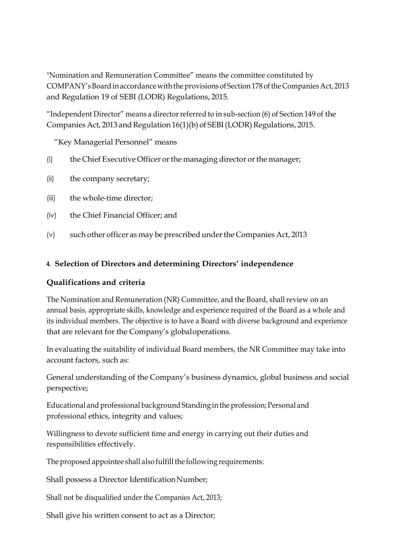"Nomination and Remuneration Committee" means the committee constituted by COMPANY's Board in accordance with the provisions of Section 178 of the Companies Act, 2013 and Regulation 19 of SEBI (LODR) Regulations, 2015.

"Independent Director" means a director referred to in sub-section (6) of Section 149 of the Companies Act, 2013 and Regulation 16(1)(b) of SEBI (LODR) Regulations, 2015.

"Key Managerial Personnel" means

- (i) the Chief Executive Officer or the managing director or the manager;
- (ii) the company secretary;
- (iii) the whole-time director;
- (iv) the Chief Financial Officer; and
- (v) such other officer as may be prescribed under the Companies Act, 2013

## **4. Selection of Directors and determining Directors' independence**

## **Qualifications and criteria**

The Nomination and Remuneration (NR) Committee, and the Board, shall review on an annual basis, appropriate skills, knowledge and experience required of the Board as a whole and its individual members. The objective is to have a Board with diverse background and experience that are relevant for the Company's global operations.

In evaluating the suitability of individual Board members, the NR Committee may take into account factors, such as:

General understanding of the Company's business dynamics, global business and social perspective;

Educational and professional background Standing in the profession; Personal and professional ethics, integrity and values;

Willingness to devote sufficient time and energy in carrying out their duties and responsibilities effectively.

The proposed appointee shall also fulfill the following requirements:

Shall possess a Director Identification Number;

Shall not be disqualified under the Companies Act, 2013;

Shall give his written consent to act as a Director;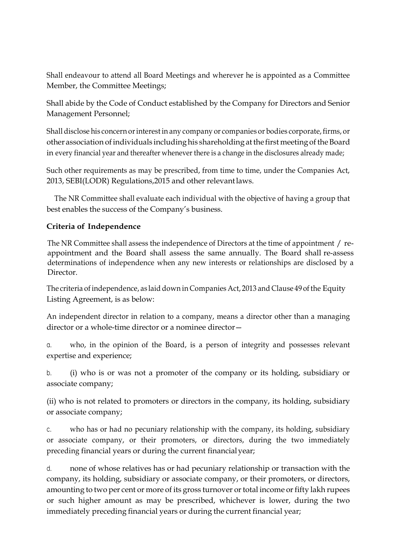Shall endeavour to attend all Board Meetings and wherever he is appointed as a Committee Member, the Committee Meetings;

Shall abide by the Code of Conduct established by the Company for Directors and Senior Management Personnel;

Shall disclose his concern or interest in any company or companies or bodies corporate, firms, or other association of individuals including his shareholding at the first meeting of the Board in every financial year and thereafter whenever there is a change in the disclosures already made;

Such other requirements as may be prescribed, from time to time, under the Companies Act, 2013, SEBI(LODR) Regulations,2015 and other relevant laws.

The NR Committee shall evaluate each individual with the objective of having a group that best enables the success of the Company's business.

# **Criteria of Independence**

The NR Committee shall assess the independence of Directors at the time of appointment / reappointment and the Board shall assess the same annually. The Board shall re-assess determinations of independence when any new interests or relationships are disclosed by a Director.

The criteria of independence, as laid down in Companies Act, 2013 and Clause 49 of the Equity Listing Agreement, is as below:

An independent director in relation to a company, means a director other than a managing director or a whole-time director or a nominee director—

a. who, in the opinion of the Board, is a person of integrity and possesses relevant expertise and experience;

b. (i) who is or was not a promoter of the company or its holding, subsidiary or associate company;

(ii) who is not related to promoters or directors in the company, its holding, subsidiary or associate company;

c. who has or had no pecuniary relationship with the company, its holding, subsidiary or associate company, or their promoters, or directors, during the two immediately preceding financial years or during the current financial year;

d. none of whose relatives has or had pecuniary relationship or transaction with the company, its holding, subsidiary or associate company, or their promoters, or directors, amounting to two per cent or more of its gross turnover or total income or fifty lakh rupees or such higher amount as may be prescribed, whichever is lower, during the two immediately preceding financial years or during the current financial year;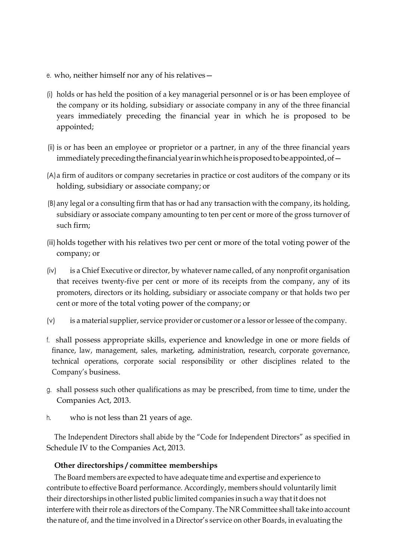- e. who, neither himself nor any of his relatives—
- (i) holds or has held the position of a key managerial personnel or is or has been employee of the company or its holding, subsidiary or associate company in any of the three financial years immediately preceding the financial year in which he is proposed to be appointed;
- (ii) is or has been an employee or proprietor or a partner, in any of the three financial years immediately preceding the financial year in which he is proposed to be appointed, of—
- (A)a firm of auditors or company secretaries in practice or cost auditors of the company or its holding, subsidiary or associate company; or
- (B) any legal or a consulting firm that has or had any transaction with the company, its holding, subsidiary or associate company amounting to ten per cent or more of the gross turnover of such firm;
- (iii) holds together with his relatives two per cent or more of the total voting power of the company; or
- (iv) is a Chief Executive or director, by whatever name called, of any nonprofit organisation that receives twenty-five per cent or more of its receipts from the company, any of its promoters, directors or its holding, subsidiary or associate company or that holds two per cent or more of the total voting power of the company; or
- (v) is a material supplier, service provider or customer or a lessor or lessee of the company.
- f. shall possess appropriate skills, experience and knowledge in one or more fields of finance, law, management, sales, marketing, administration, research, corporate governance, technical operations, corporate social responsibility or other disciplines related to the Company's business.
- g. shall possess such other qualifications as may be prescribed, from time to time, under the Companies Act, 2013.
- h. who is not less than 21 years of age.

The Independent Directors shall abide by the "Code for Independent Directors" as specified in Schedule IV to the Companies Act, 2013.

## **Other directorships / committee memberships**

The Board members are expected to have adequate time and expertise and experience to contribute to effective Board performance. Accordingly, members should voluntarily limit their directorships in other listed public limited companies in such a way that it does not interfere with their role as directors of the Company. The NR Committee shall take into account the nature of, and the time involved in a Director's service on other Boards, in evaluating the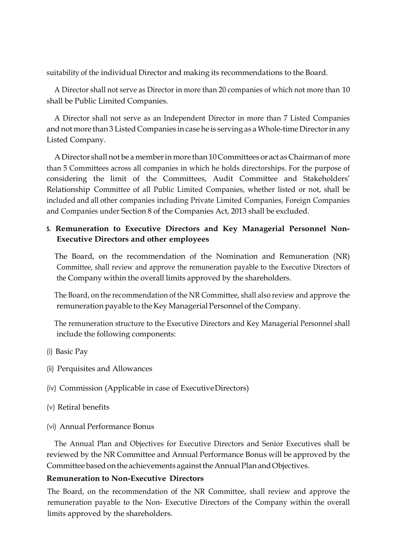suitability of the individual Director and making its recommendations to the Board.

A Director shall not serve as Director in more than 20 companies of which not more than 10 shall be Public Limited Companies.

A Director shall not serve as an Independent Director in more than 7 Listed Companies and not more than 3 Listed Companies in case he is serving as a Whole-time Director in any Listed Company.

A Director shall not be a member in more than 10 Committees or act as Chairman of more than 5 Committees across all companies in which he holds directorships. For the purpose of considering the limit of the Committees, Audit Committee and Stakeholders' Relationship Committee of all Public Limited Companies, whether listed or not, shall be included and all other companies including Private Limited Companies, Foreign Companies and Companies under Section 8 of the Companies Act, 2013 shall be excluded.

# **5. Remuneration to Executive Directors and Key Managerial Personnel Non-Executive Directors and other employees**

The Board, on the recommendation of the Nomination and Remuneration (NR) Committee, shall review and approve the remuneration payable to the Executive Directors of the Company within the overall limits approved by the shareholders.

The Board, on the recommendation of the NR Committee, shall also review and approve the remuneration payable to the Key Managerial Personnel of the Company.

The remuneration structure to the Executive Directors and Key Managerial Personnel shall include the following components:

- (i) Basic Pay
- (ii) Perquisites and Allowances
- (iv) Commission (Applicable in case of Executive Directors)
- (v) Retiral benefits
- (vi) Annual Performance Bonus

The Annual Plan and Objectives for Executive Directors and Senior Executives shall be reviewed by the NR Committee and Annual Performance Bonus will be approved by the Committee based on the achievements against the Annual Plan and Objectives.

## **Remuneration to Non-Executive Directors**

The Board, on the recommendation of the NR Committee, shall review and approve the remuneration payable to the Non- Executive Directors of the Company within the overall limits approved by the shareholders.